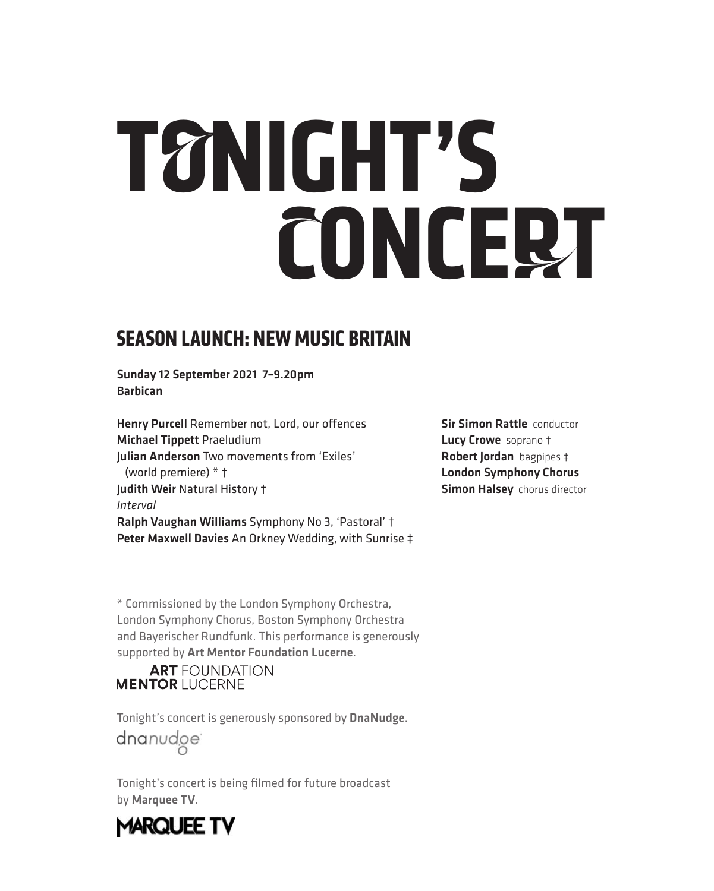# **TONIGHT'S CONCERT**

## **SEASON LAUNCH: NEW MUSIC BRITAIN**

Sunday 12 September 2021 7–9.20pm Barbican

Henry Purcell Remember not, Lord, our offences Michael Tippett Praeludium Julian Anderson Two movements from 'Exiles' (world premiere) \* † Judith Weir Natural History † *Interval* Ralph Vaughan Williams Symphony No 3, 'Pastoral' † Peter Maxwell Davies An Orkney Wedding, with Sunrise ‡ **Sir Simon Rattle conductor** Lucy Crowe soprano † Robert Jordan bagpipes ‡ London Symphony Chorus **Simon Halsey** chorus director

\* Commissioned by the London Symphony Orchestra, London Symphony Chorus, Boston Symphony Orchestra and Bayerischer Rundfunk. This performance is generously supported by Art Mentor Foundation Lucerne.

#### **ART** FOUNDATION **MENTOR LUCERNE**

Tonight's concert is generously sponsored by DnaNudge. dnanudge<sup>®</sup>

Tonight's concert is being filmed for future broadcast by Marquee TV.

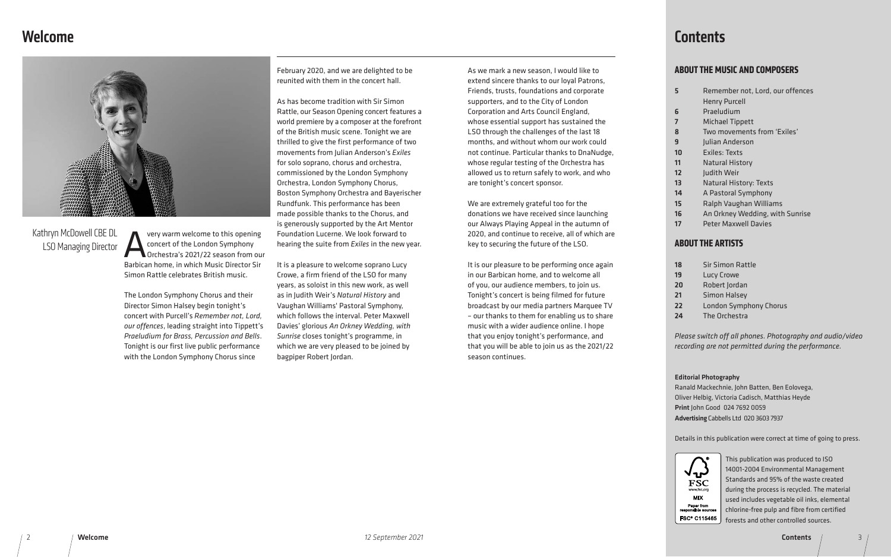## Welcome



Very warm welcome to this opening<br>
concert of the London Symphony<br>
Orchestra's 2021/22 season from ou concert of the London Symphony Orchestra's 2021/22 season from our Barbican home, in which Music Director Sir Simon Rattle celebrates British music.

The London Symphony Chorus and their Director Simon Halsey begin tonight's concert with Purcell's *Remember not, Lord, our offences*, leading straight into Tippett's *Praeludium for Brass, Percussion and Bells*. Tonight is our first live public performance with the London Symphony Chorus since

February 2020, and we are delighted to be reunited with them in the concert hall.

As has become tradition with Sir Simon Rattle, our Season Opening concert features a world premiere by a composer at the forefront of the British music scene. Tonight we are thrilled to give the first performance of two movements from Julian Anderson's *Exiles* for solo soprano, chorus and orchestra, commissioned by the London Symphony Orchestra, London Symphony Chorus, Boston Symphony Orchestra and Bayerischer Rundfunk. This performance has been made possible thanks to the Chorus, and is generously supported by the Art Mentor Foundation Lucerne. We look forward to hearing the suite from *Exiles* in the new year.

It is a pleasure to welcome soprano Lucy Crowe, a firm friend of the LSO for many years, as soloist in this new work, as well as in Judith Weir's *Natural History* and Vaughan Williams' Pastoral Symphony, which follows the interval. Peter Maxwell Davies' glorious *An Orkney Wedding, with Sunrise* closes tonight's programme, in which we are very pleased to be joined by bagpiper Robert Jordan.

## Kathryn McDowell CBE DL LSO Managing Director

#### **ABOUT THE MUSIC AND COMPOSERS**

| 5              |
|----------------|
| 6              |
| 7              |
| 8              |
| 9              |
| 10             |
| 11             |
| 12             |
| 1 <sub>3</sub> |
| 14<br>l        |
| 15             |
| 16<br>l        |
| 17             |

| 18 | c              |
|----|----------------|
| 19 | L              |
| 20 | F              |
| 21 | $\overline{a}$ |
| 22 | L              |
| 24 | ı              |

#### **ABOUT THE ARTISTS**

ir Simon Rattle ucy Crowe 20 Robert Jordan imon Halsey ondon Symphony Chorus he Orchestra

*Please switch off all phones. Photography and audio/video recording are not permitted during the performance.*

- Remember not, Lord, our offences Henry Purcell **Praeludium Michael Tippett** Two movements from 'Exiles' Iulian Anderson Exiles: Texts **Natural History** Iudith Weir Natural History: Texts 14 A Pastoral Symphony Ralph Vaughan Williams An Orkney Wedding, with Sunrise
- Peter Maxwell Davies

This publication was produced to ISO 14001-2004 Environmental Management Standards and 95% of the waste created during the process is recycled. The material used includes vegetable oil inks, elemental chlorine-free pulp and fibre from certified forests and other controlled sources.

#### Editorial Photography

Ranald Mackechnie, John Batten, Ben Eolovega, Oliver Helbig, Victoria Cadisch, Matthias Heyde Print John Good 024 7692 0059 Advertising Cabbells Ltd 020 3603 7937



Details in this publication were correct at time of going to press.



As we mark a new season, I would like to extend sincere thanks to our loyal Patrons, Friends, trusts, foundations and corporate supporters, and to the City of London Corporation and Arts Council England, whose essential support has sustained the LSO through the challenges of the last 18 months, and without whom our work could not continue. Particular thanks to DnaNudge, whose regular testing of the Orchestra has allowed us to return safely to work, and who are tonight's concert sponsor.

We are extremely grateful too for the donations we have received since launching our Always Playing Appeal in the autumn of 2020, and continue to receive, all of which are key to securing the future of the LSO.

It is our pleasure to be performing once again in our Barbican home, and to welcome all of you, our audience members, to join us. Tonight's concert is being filmed for future broadcast by our media partners Marquee TV – our thanks to them for enabling us to share music with a wider audience online. I hope that you enjoy tonight's performance, and that you will be able to join us as the 2021/22 season continues.

## **Contents**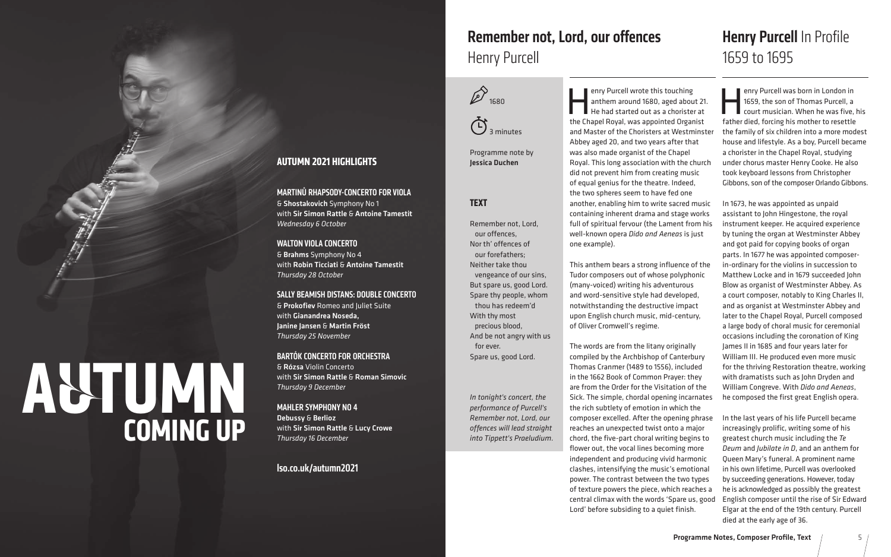

3 minutes

Programme note by Jessica Duchen

## **Henry Purcell In Profile** 1659 to 1695

enry Purcell wrote this touching<br>anthem around 1680, aged about<br>He had started out as a chorister<br>the Chanel Boyal was appointed Organ anthem around 1680, aged about 21. He had started out as a chorister at the Chapel Royal, was appointed Organist and Master of the Choristers at Westminster Abbey aged 20, and two years after that was also made organist of the Chapel Royal. This long association with the church did not prevent him from creating music of equal genius for the theatre. Indeed, the two spheres seem to have fed one another, enabling him to write sacred music containing inherent drama and stage works full of spiritual fervour (the Lament from his well-known opera *Dido and Aeneas* is just one example). This anthem bears a strong influence of the Tudor composers out of whose polyphonic (many-voiced) writing his adventurous and word-sensitive style had developed, notwithstanding the destructive impact upon English church music, mid-century, of Oliver Cromwell's regime. The words are from the litany originally compiled by the Archbishop of Canterbury are from the Order for the Visitation of the Sick. The simple, chordal opening incarnates the rich subtlety of emotion in which the enry Purcell was born in London in<br>1659, the son of Thomas Purcell, a<br>court musician. When he was five,<br>father died, forcing his mother to recettle 1659, the son of Thomas Purcell, a court musician. When he was five, his father died, forcing his mother to resettle the family of six children into a more modest house and lifestyle. As a boy, Purcell became a chorister in the Chapel Royal, studying under chorus master Henry Cooke. He also took keyboard lessons from Christopher Gibbons, son of the composer Orlando Gibbons. In 1673, he was appointed as unpaid assistant to John Hingestone, the royal instrument keeper. He acquired experience by tuning the organ at Westminster Abbey and got paid for copying books of organ parts. In 1677 he was appointed composerin-ordinary for the violins in succession to Matthew Locke and in 1679 succeeded John Blow as organist of Westminster Abbey. As a court composer, notably to King Charles II, and as organist at Westminster Abbey and later to the Chapel Royal, Purcell composed a large body of choral music for ceremonial occasions including the coronation of King James II in 1685 and four years later for William III. He produced even more music for the thriving Restoration theatre, working with dramatists such as John Dryden and William Congreve. With *Dido and Aeneas*, he composed the first great English opera. In the last years of his life Purcell became increasingly prolific, writing some of his

## Remember not, Lord, our offences Henry Purcell

Thomas Cranmer (1489 to 1556), included in the 1662 Book of Common Prayer: they composer excelled. After the opening phrase reaches an unexpected twist onto a major chord, the five-part choral writing begins to flower out, the vocal lines becoming more independent and producing vivid harmonic clashes, intensifying the music's emotional power. The contrast between the two types of texture powers the piece, which reaches a central climax with the words 'Spare us, good Lord' before subsiding to a quiet finish. greatest church music including the *Te Deum* and *Jubilate in D*, and an anthem for Queen Mary's funeral. A prominent name in his own lifetime, Purcell was overlooked by succeeding generations. However, today he is acknowledged as possibly the greatest English composer until the rise of Sir Edward Elgar at the end of the 19th century. Purcell died at the early age of 36.

#### **TEXT**

#### 4 Programme Notes, Composer Profile, Text *12 September 2021* 5 Programme Notes, Composer Profile, Text

Remember not, Lord, our offences, Nor th' offences of our forefathers; Neither take thou vengeance of our sins, But spare us, good Lord. Spare thy people, whom thou has redeem'd With thy most precious blood, And be not angry with us for ever. Spare us, good Lord.

*In tonight's concert, the performance of Purcell's Remember not, Lord, our offences will lead straight into Tippett's Praeludium.*

#### **AUTUMN 2021 HIGHLIGHTS**

MARTINŮ RHAPSODY-CONCERTO FOR VIOLA & Shostakovich Symphony No 1 with Sir Simon Rattle & Antoine Tamestit *Wednesday 6 October*

WALTON VIOLA CONCERTO & Brahms Symphony No 4 with Robin Ticciati & Antoine Tamestit *Thursday 28 October*

#### SALLY BEAMISH DISTANS: DOUBLE CONCERTO

& Prokofiev Romeo and Juliet Suite with Gianandrea Noseda, Janine Jansen & Martin Fröst *Thursday 25 November*

#### BARTÓK CONCERTO FOR ORCHESTRA

& Rózsa Violin Concerto with Sir Simon Rattle & Roman Simovic *Thursday 9 December*

MAHLER SYMPHONY NO 4

Debussy & Berlioz with Sir Simon Rattle & Lucy Crowe *Thursday 16 December*

#### lso.co.uk/autumn2021

# **AUTUMN COMING UP**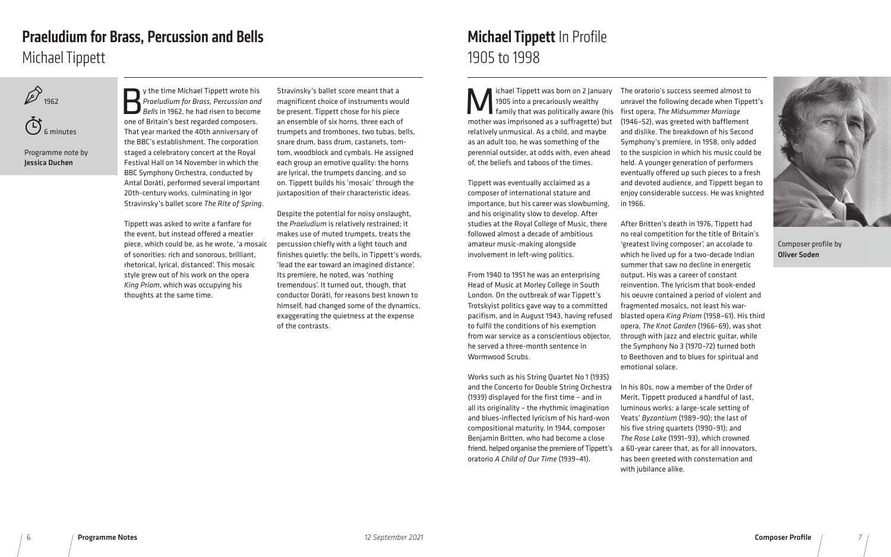



Programme note by Jessica Duchen

y the time Michael Tippett wrote his<br>Praeludium for Brass, Percussion and<br>Bells in 1962, he had risen to become<br>one of Britain's best regarded composers *Praeludium for Brass, Percussion and Bells* in 1962, he had risen to become one of Britain's best regarded composers. That year marked the 40th anniversary of the BBC's establishment. The corporation staged a celebratory concert at the Royal Festival Hall on 14 November in which the BBC Symphony Orchestra, conducted by Antal Doráti, performed several important 20th-century works, culminating in Igor Stravinsky's ballet score *The Rite of Spring*.

Tippett was asked to write a fanfare for the event, but instead offered a meatier piece, which could be, as he wrote, 'a mosaic of sonorities: rich and sonorous, brilliant, rhetorical, lyrical, distanced'. This mosaic style grew out of his work on the opera *King Priam*, which was occupying his thoughts at the same time.

## Praeludium for Brass, Percussion and Bells Michael Tippett

Ichael Tippett was born on 2 January<br>1905 into a precariously wealthy<br>mother was imprisoned as a suffragette) but 1905 into a precariously wealthy mother was imprisoned as a suffragette) but relatively unmusical. As a child, and maybe as an adult too, he was something of the perennial outsider, at odds with, even ahead of, the beliefs and taboos of the times.

Stravinsky's ballet score meant that a magnificent choice of instruments would be present. Tippett chose for his piece an ensemble of six horns, three each of trumpets and trombones, two tubas, bells, snare drum, bass drum, castanets, tomtom, woodblock and cymbals. He assigned each group an emotive quality: the horns are lyrical, the trumpets dancing, and so on. Tippett builds his 'mosaic' through the juxtaposition of their characteristic ideas.

Despite the potential for noisy onslaught, the *Praeludium* is relatively restrained; it makes use of muted trumpets, treats the percussion chiefly with a light touch and finishes quietly: the bells, in Tippett's words, 'lead the ear toward an imagined distance'. Its premiere, he noted, was 'nothing tremendous'. It turned out, though, that conductor Doráti, for reasons best known to himself, had changed some of the dynamics, exaggerating the quietness at the expense of the contrasts.

## Michael Tippett In Profile 1905 to 1998

Tippett was eventually acclaimed as a composer of international stature and importance, but his career was slowburning, and his originality slow to develop. After studies at the Royal College of Music, there followed almost a decade of ambitious amateur music-making alongside involvement in left-wing politics.

From 1940 to 1951 he was an enterprising Head of Music at Morley College in South London. On the outbreak of war Tippett's Trotskyist politics gave way to a committed pacifism, and in August 1943, having refused to fulfil the conditions of his exemption from war service as a conscientious objector, he served a three-month sentence in Wormwood Scrubs.

family that was politically aware (his first opera, *The Midsummer Marriage* The oratorio's success seemed almost to unravel the following decade when Tippett's (1946–52), was greeted with bafflement and dislike. The breakdown of his Second Symphony's premiere, in 1958, only added to the suspicion in which his music could be held. A younger generation of performers eventually offered up such pieces to a fresh and devoted audience, and Tippett began to enjoy considerable success. He was knighted in 1966.

Works such as his String Quartet No 1 (1935) and the Concerto for Double String Orchestra (1939) displayed for the first time – and in all its originality – the rhythmic imagination and blues-inflected lyricism of his hard-won compositional maturity. In 1944, composer Benjamin Britten, who had become a close friend, helped organise the premiere of Tippett's oratorio *A Child of Our Time* (1939–41).

After Britten's death in 1976, Tippett had no real competition for the title of Britain's 'greatest living composer', an accolade to which he lived up for a two-decade Indian summer that saw no decline in energetic output. His was a career of constant reinvention. The lyricism that book-ended his oeuvre contained a period of violent and fragmented mosaics, not least his warblasted opera *King Priam* (1958–61). His third opera, *The Knot Garden* (1966–69), was shot through with jazz and electric guitar, while the Symphony No 3 (1970–72) turned both to Beethoven and to blues for spiritual and emotional solace.

In his 80s, now a member of the Order of Merit, Tippett produced a handful of last, luminous works: a large-scale setting of Yeats' *Byzantium* (1989–90); the last of his five string quartets (1990–91); and *The Rose Lake* (1991–93), which crowned a 60-year career that, as for all innovators, has been greeted with consternation and with jubilance alike.



Composer profile by Oliver Soden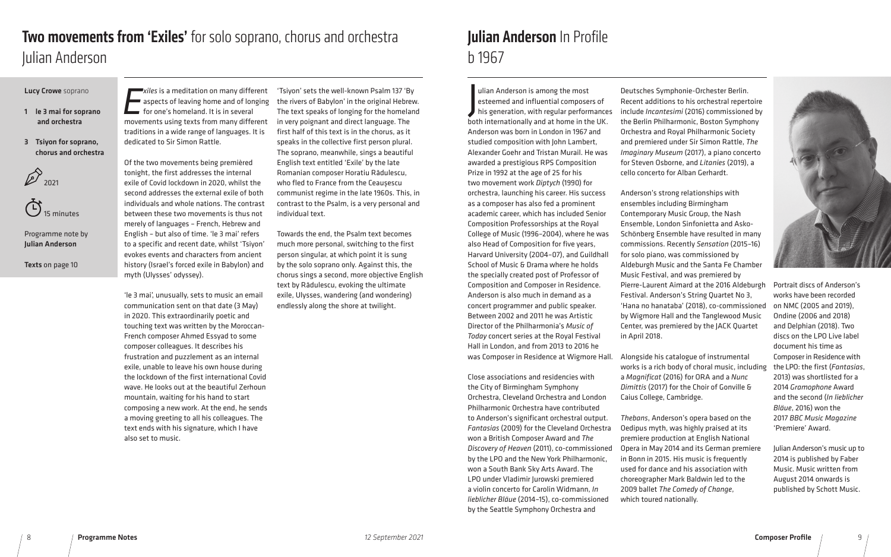#### Lucy Crowe soprano

- 1 le 3 mai for soprano and orchestra
- 3 Tsiyon for soprano, chorus and orchestra





Programme note by Julian Anderson

Texts on page 10

*Exiles* is a meditation on many different same aspects of leaving home and of longing for one's homeland. It is in several movements using texts from many different traditions in a wide range of languages. It is dedicated to Sir Simon Rattle.

Of the two movements being premièred tonight, the first addresses the internal exile of Covid lockdown in 2020, whilst the second addresses the external exile of both individuals and whole nations. The contrast between these two movements is thus not merely of languages – French, Hebrew and English – but also of time. 'le 3 mai' refers to a specific and recent date, whilst 'Tsiyon' evokes events and characters from ancient history (Israel's forced exile in Babylon) and myth (Ulysses' odyssey).

## Two movements from 'Exiles' for solo soprano, chorus and orchestra Julian Anderson

'le 3 mai', unusually, sets to music an email communication sent on that date (3 May) in 2020. This extraordinarily poetic and touching text was written by the Moroccan-French composer Ahmed Essyad to some composer colleagues. It describes his frustration and puzzlement as an internal exile, unable to leave his own house during the lockdown of the first international Covid wave. He looks out at the beautiful Zerhoun mountain, waiting for his hand to start composing a new work. At the end, he sends a moving greeting to all his colleagues. The text ends with his signature, which I have also set to music.

## Julian Anderson In Profile b 1967

'Tsiyon' sets the well-known Psalm 137 'By the rivers of Babylon' in the original Hebrew. The text speaks of longing for the homeland in very poignant and direct language. The first half of this text is in the chorus, as it speaks in the collective first person plural. The soprano, meanwhile, sings a beautiful English text entitled 'Exile' by the late Romanian composer Horatiu Rădulescu, who fled to France from the Ceaușescu communist regime in the late 1960s. This, in contrast to the Psalm, is a very personal and individual text.

Towards the end, the Psalm text becomes much more personal, switching to the first person singular, at which point it is sung by the solo soprano only. Against this, the chorus sings a second, more objective English text by Rădulescu, evoking the ultimate exile, Ulysses, wandering (and wondering) endlessly along the shore at twilight.

J ulian Anderson is among the most esteemed and influential composers of his generation, with regular performances both internationally and at home in the UK. Anderson was born in London in 1967 and studied composition with John Lambert, Alexander Goehr and Tristan Murail. He was awarded a prestigious RPS Composition Prize in 1992 at the age of 25 for his two movement work *Diptych* (1990) for orchestra, launching his career. His success as a composer has also fed a prominent academic career, which has included Senior Composition Professorships at the Royal College of Music (1996–2004), where he was also Head of Composition for five years, Harvard University (2004–07), and Guildhall School of Music & Drama where he holds the specially created post of Professor of Composition and Composer in Residence. Anderson is also much in demand as a concert programmer and public speaker. Between 2002 and 2011 he was Artistic Director of the Philharmonia's *Music of Today* concert series at the Royal Festival Hall in London, and from 2013 to 2016 he was Composer in Residence at Wigmore Hall.

Close associations and residencies with the City of Birmingham Symphony Orchestra, Cleveland Orchestra and London Philharmonic Orchestra have contributed to Anderson's significant orchestral output. *Fantasias* (2009) for the Cleveland Orchestra won a British Composer Award and *The Discovery of Heaven* (2011), co-commissioned by the LPO and the New York Philharmonic, won a South Bank Sky Arts Award. The LPO under Vladimir Jurowski premiered a violin concerto for Carolin Widmann, *In lieblicher Bläue* (2014–15), co-commissioned by the Seattle Symphony Orchestra and

Deutsches Symphonie-Orchester Berlin. Recent additions to his orchestral repertoire include *Incantesimi* (2016) commissioned by the Berlin Philharmonic, Boston Symphony Orchestra and Royal Philharmonic Society and premiered under Sir Simon Rattle, *The Imaginary Museum* (2017), a piano concerto for Steven Osborne, and *Litanies* (2019), a cello concerto for Alban Gerhardt.

Anderson's strong relationships with ensembles including Birmingham Contemporary Music Group, the Nash Ensemble, London Sinfonietta and Asko-Schönberg Ensemble have resulted in many commissions. Recently *Sensation* (2015–16) for solo piano, was commissioned by Aldeburgh Music and the Santa Fe Chamber Music Festival, and was premiered by Pierre-Laurent Aimard at the 2016 Aldeburgh Festival. Anderson's String Quartet No 3, 'Hana no hanataba' (2018), co-commissioned by Wigmore Hall and the Tanglewood Music Center, was premiered by the JACK Quartet in April 2018.

Alongside his catalogue of instrumental works is a rich body of choral music, including a *Magnificat* (2016) for ORA and a *Nunc Dimittis* (2017) for the Choir of Gonville & Caius College, Cambridge.

*Thebans*, Anderson's opera based on the Oedipus myth, was highly praised at its premiere production at English National Opera in May 2014 and its German premiere in Bonn in 2015. His music is frequently used for dance and his association with choreographer Mark Baldwin led to the 2009 ballet *The Comedy of Change*, which toured nationally.



Portrait discs of Anderson's works have been recorded on NMC (2005 and 2019), Ondine (2006 and 2018) and Delphian (2018). Two discs on the LPO Live label document his time as Composer in Residence with the LPO: the first (*Fantasias*, 2013) was shortlisted for a 2014 *Gramophone* Award and the second (*In lieblicher Bläue*, 2016) won the 2017 *BBC Music Magazine* 'Premiere' Award.

Julian Anderson's music up to 2014 is published by Faber Music. Music written from August 2014 onwards is published by Schott Music.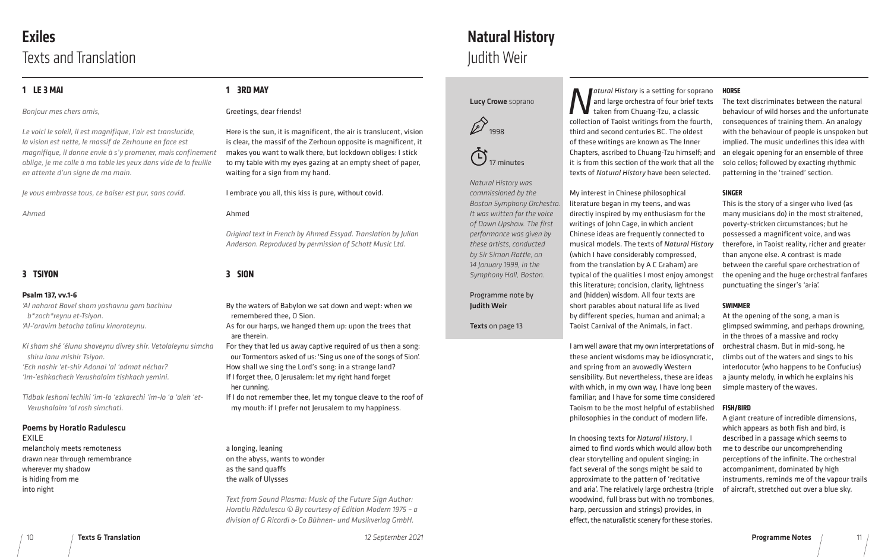## Exiles Texts and Translation

### **1 LE 3 MAI**

#### *Bonjour mes chers amis,*

*Le voici le soleil, il est magnifique, l'air est translucide, la vision est nette, le massif de Zerhoune en face est magnifique, il donne envie à s'y promener, mais confinement oblige, je me colle à ma table les yeux dans vide de la feuille en attente d'un signe de ma main.* 

*Je vous embrasse tous, ce baiser est pur, sans covid.*

*Ahmed*

#### **3 TSIYON**

#### **Psalm 137, vv.1-6**

*'Al naharot Bavel sham yashavnu gam bachinu b\*zoch\*reynu et-Tsiyon. 'Al-'aravim betocha talinu kinoroteynu.*

*Ki sham shé 'élunu shoveynu divrey shir. Vetolaleynu simcha shiru lanu mishir Tsiyon. 'Ech nashir 'et-shir Adonai 'al 'admat néchar? 'Im-'eshkachech Yerushalaim tishkach yemini.*

*Tidbak leshoni lechiki 'im-lo 'ezkarechi 'im-lo 'a 'aleh 'et- Yerushalaim 'al rosh simchati.*

#### Poems by Horatio Radulescu

EXILE melancholy meets remoteness drawn near through remembrance wherever my shadow is hiding from me into night

### **1 3RD MAY**

Greetings, dear friends!

Here is the sun, it is magnificent, the air is translucent, vision is clear, the massif of the Zerhoun opposite is magnificent, it makes you want to walk there, but lockdown obliges: I stick to my table with my eyes gazing at an empty sheet of paper, waiting for a sign from my hand.

#### I embrace you all, this kiss is pure, without covid.

#### Ahmed

*Original text in French by Ahmed Essyad. Translation by Julian Anderson. Reproduced by permission of Schott Music Ltd.* 

**3 SION**

By the waters of Babylon we sat down and wept: when we remembered thee, O Sion.

**Natural History is a setting for sopran** and large orchestra of four brief text taken from Chuang-Tzu, a classic collection of Taoist writings from the fourth third and second centuries BC. The oldest of these writings are known as The Inner Chapters, ascribed to Chuang-Tzu himself; an it is from this section of the work that all th texts of *Natural History* have been selected.

As for our harps, we hanged them up: upon the trees that are therein.

For they that led us away captive required of us then a song: our Tormentors asked of us: 'Sing us one of the songs of Sion'. How shall we sing the Lord's song: in a strange land? If I forget thee, O Jerusalem: let my right hand forget her cunning.

If I do not remember thee, let my tongue cleave to the roof of my mouth: if I prefer not Jerusalem to my happiness.

a longing, leaning on the abyss, wants to wonder as the sand quaffs the walk of Ulysses

*Text from Sound Plasma: Music of the Future Sign Author: Horatiu Rădulescu © By courtesy of Edition Modern 1975 – a division of G Ricordi & Co Bühnen- und Musikverlag GmbH.* 

10 Texts & Translation *12 September 2021* Programme Notes 11

#### Lucy Crowe soprano



 $\ddot{\bigodot}_{17 \text{ minutes}}$ 

*Natural History was commissioned by the Boston Symphony Orchestra. It was written for the voice of Dawn Upshaw. The first performance was given by these artists, conducted by Sir Simon Rattle, on 14 January 1999, in the Symphony Hall, Boston.*

Programme note by Judith Weir

Texts on page 13

My interest in Chinese philosophical literature began in my teens, and was directly inspired by my enthusiasm for the writings of John Cage, in which ancient Chinese ideas are frequently connected to musical models. The texts of *Natural History* (which I have considerably compressed, from the translation by A C Graham) are typical of the qualities I most enjoy amongst this literature; concision, clarity, lightness and (hidden) wisdom. All four texts are short parables about natural life as lived

# Natural History Judith Weir

by different species, human and animal; a Taoist Carnival of the Animals, in fact. I am well aware that my own interpretations of these ancient wisdoms may be idiosyncratic, and spring from an avowedly Western sensibility. But nevertheless, these are ideas with which, in my own way, I have long been familiar; and I have for some time considered Taoism to be the most helpful of established philosophies in the conduct of modern life. At the opening of the song, a man is glimpsed swimming, and perhaps drowning, in the throes of a massive and rocky orchestral chasm. But in mid-song, he climbs out of the waters and sings to his interlocutor (who happens to be Confucius) a jaunty melody, in which he explains his simple mastery of the waves. **FISH/BIRD** A giant creature of incredible dimensions,

| ts | The text discriminates between the natural   |
|----|----------------------------------------------|
|    | behaviour of wild horses and the unfortunate |
| h. | consequences of training them. An analogy    |
|    | with the behaviour of people is unspoken but |
|    | implied. The music underlines this idea with |
| nd | an elegaic opening for an ensemble of three  |
| he | solo cellos; followed by exacting rhythmic   |
| 1. | patterning in the 'trained' section.         |

#### **SINGER**

This is the story of a singer who lived (as many musicians do) in the most straitened, poverty-stricken circumstances; but he possessed a magnificent voice, and was

In choosing texts for *Natural History*, I aimed to find words which would allow both clear storytelling and opulent singing; in fact several of the songs might be said to approximate to the pattern of 'recitative and aria'. The relatively large orchestra (triple woodwind, full brass but with no trombones, harp, percussion and strings) provides, in effect, the naturalistic scenery for these stories. described in a passage which seems to me to describe our uncomprehending perceptions of the infinite. The orchestral accompaniment, dominated by high instruments, reminds me of the vapour trails of aircraft, stretched out over a blue sky.

- therefore, in Taoist reality, richer and greater than anyone else. A contrast is made between the careful spare orchestration of
- the opening and the huge orchestral fanfares punctuating the singer's 'aria'.

#### **SWIMMER**

which appears as both fish and bird, is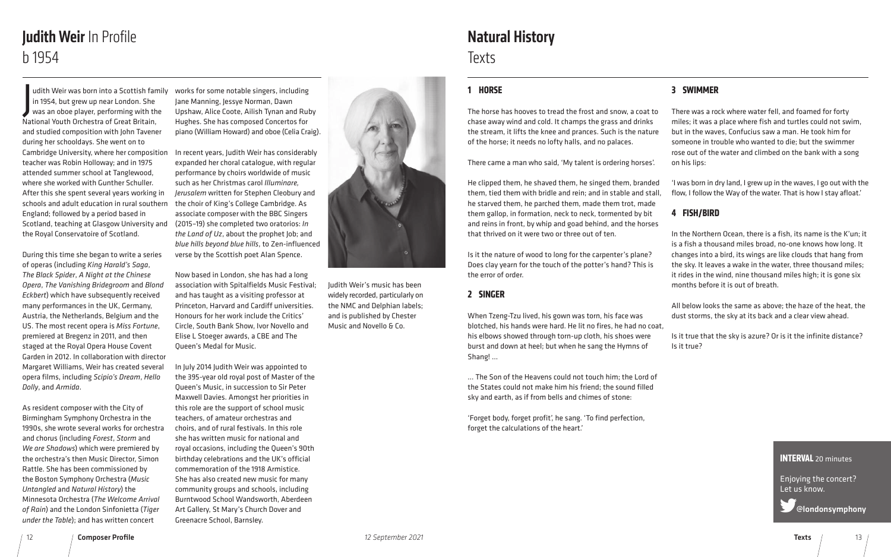## Judith Weir In Profile b 1954

J udith Weir was born into a Scottish family in 1954, but grew up near London. She was an oboe player, performing with the National Youth Orchestra of Great Britain, and studied composition with John Tavener during her schooldays. She went on to Cambridge University, where her composition teacher was Robin Holloway; and in 1975 attended summer school at Tanglewood, where she worked with Gunther Schuller. After this she spent several years working in schools and adult education in rural southern England; followed by a period based in Scotland, teaching at Glasgow University and the Royal Conservatoire of Scotland.

During this time she began to write a series of operas (including *King Harald's Saga*, *The Black Spider*, *A Night at the Chinese Opera*, *The Vanishing Bridegroom* and *Blond Eckbert*) which have subsequently received many performances in the UK, Germany, Austria, the Netherlands, Belgium and the US. The most recent opera is *Miss Fortune*, premiered at Bregenz in 2011, and then staged at the Royal Opera House Covent Garden in 2012. In collaboration with director Margaret Williams, Weir has created several opera films, including *Scipio's Dream*, *Hello Dolly*, and *Armida*.

As resident composer with the City of Birmingham Symphony Orchestra in the 1990s, she wrote several works for orchestra and chorus (including *Forest*, *Storm* and *We are Shadows*) which were premiered by the orchestra's then Music Director, Simon Rattle. She has been commissioned by the Boston Symphony Orchestra (*Music Untangled* and *Natural History*) the Minnesota Orchestra (*The Welcome Arrival of Rain*) and the London Sinfonietta (*Tiger under the Table*); and has written concert

## Natural History **Texts**

works for some notable singers, including Jane Manning, Jessye Norman, Dawn Upshaw, Alice Coote, Ailish Tynan and Ruby Hughes. She has composed Concertos for piano (William Howard) and oboe (Celia Craig).

In recent years, Judith Weir has considerably expanded her choral catalogue, with regular performance by choirs worldwide of music such as her Christmas carol *Illuminare, Jerusalem* written for Stephen Cleobury and the choir of King's College Cambridge. As associate composer with the BBC Singers (2015–19) she completed two oratorios: *In the Land of Uz*, about the prophet Job; and *blue hills beyond blue hills*, to Zen-influenced verse by the Scottish poet Alan Spence.

Now based in London, she has had a long association with Spitalfields Music Festival; and has taught as a visiting professor at Princeton, Harvard and Cardiff universities. Honours for her work include the Critics' Circle, South Bank Show, Ivor Novello and Elise L Stoeger awards, a CBE and The Queen's Medal for Music.

In July 2014 Judith Weir was appointed to the 395-year old royal post of Master of the Queen's Music, in succession to Sir Peter Maxwell Davies. Amongst her priorities in this role are the support of school music teachers, of amateur orchestras and choirs, and of rural festivals. In this role she has written music for national and royal occasions, including the Queen's 90th birthday celebrations and the UK's official commemoration of the 1918 Armistice. She has also created new music for many community groups and schools, including Burntwood School Wandsworth, Aberdeen Art Gallery, St Mary's Church Dover and Greenacre School, Barnsley.



Judith Weir's music has been widely recorded, particularly on the NMC and Delphian labels; and is published by Chester Music and Novello & Co.

#### **INTERVAL** 20 minutes

Enjoying the concert? Let us know.

@londonsymphony

### **1 HORSE**

The horse has hooves to tread the frost and snow, a coat to chase away wind and cold. It champs the grass and drinks the stream, it lifts the knee and prances. Such is the nature of the horse; it needs no lofty halls, and no palaces.

There came a man who said, 'My talent is ordering horses'.

He clipped them, he shaved them, he singed them, branded them, tied them with bridle and rein; and in stable and stall, he starved them, he parched them, made them trot, made them gallop, in formation, neck to neck, tormented by bit and reins in front, by whip and goad behind, and the horses that thrived on it were two or three out of ten.

Is it the nature of wood to long for the carpenter's plane? Does clay yearn for the touch of the potter's hand? This is the error of order.

#### **2 SINGER**

When Tzeng-Tzu lived, his gown was torn, his face was blotched, his hands were hard. He lit no fires, he had no coat, his elbows showed through torn-up cloth, his shoes were burst and down at heel; but when he sang the Hymns of Shang! …

… The Son of the Heavens could not touch him; the Lord of the States could not make him his friend; the sound filled sky and earth, as if from bells and chimes of stone:

'Forget body, forget profit', he sang. 'To find perfection, forget the calculations of the heart.'

#### **3 SWIMMER**

There was a rock where water fell, and foamed for forty miles; it was a place where fish and turtles could not swim, but in the waves, Confucius saw a man. He took him for someone in trouble who wanted to die; but the swimmer rose out of the water and climbed on the bank with a song on his lips:

'I was born in dry land, I grew up in the waves, I go out with the flow, I follow the Way of the water. That is how I stay afloat.'

#### **4 FISH/BIRD**

In the Northern Ocean, there is a fish, its name is the K'un; it is a fish a thousand miles broad, no-one knows how long. It changes into a bird, its wings are like clouds that hang from the sky. It leaves a wake in the water, three thousand miles; it rides in the wind, nine thousand miles high; it is gone six months before it is out of breath.

All below looks the same as above; the haze of the heat, the dust storms, the sky at its back and a clear view ahead.

Is it true that the sky is azure? Or is it the infinite distance?

Is it true?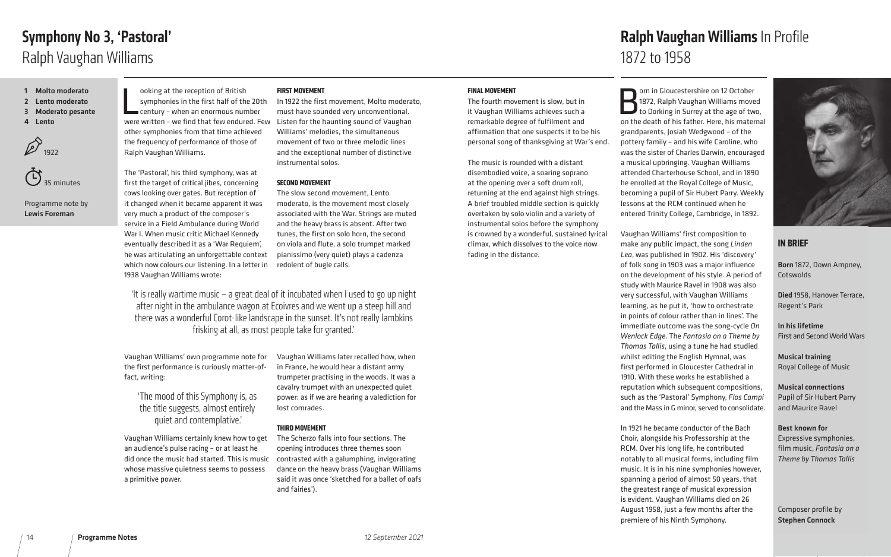#### **FINAL MOVEMENT**

The fourth movement is slow, but in it Vaughan Williams achieves such a remarkable degree of fulfilment and affirmation that one suspects it to be his personal song of thanksgiving at War's end.

The music is rounded with a distant disembodied voice, a soaring soprano at the opening over a soft drum roll, returning at the end against high strings. A brief troubled middle section is quickly overtaken by solo violin and a variety of instrumental solos before the symphony is crowned by a wonderful, sustained lyrical climax, which dissolves to the voice now fading in the distance.

**Born in Gloucestershire on 12 October**<br>1872, Ralph Vaughan Williams move<br>to Dorking in Surrey at the age of two 1872, Ralph Vaughan Williams moved to Dorking in Surrey at the age of two, on the death of his father. Here, his maternal grandparents, Josiah Wedgwood – of the pottery family – and his wife Caroline, who was the sister of Charles Darwin, encouraged a musical upbringing. Vaughan Williams attended Charterhouse School, and in 1890 he enrolled at the Royal College of Music, becoming a pupil of Sir Hubert Parry. Weekly lessons at the RCM continued when he entered Trinity College, Cambridge, in 1892.

## Ralph Vaughan Williams In Profile



ooking at the reception of British<br>
symphonies in the first half of the 20th In 1922 the first movement, Molto modera<br>
century - when an enormous number must have sounded very unconventional.<br>
were written - we find that f ooking at the reception of British symphonies in the first half of the 20th century – when an enormous number other symphonies from that time achieved the frequency of performance of those of

> Vaughan Williams' first composition to make any public impact, the song *Linden Lea*, was published in 1902. His 'discovery' of folk song in 1903 was a major influence on the development of his style. A period of study with Maurice Ravel in 1908 was also very successful, with Vaughan Williams learning, as he put it, 'how to orchestrate in points of colour rather than in lines'. The immediate outcome was the song-cycle *On Wenlock Edge*. The *Fantasia on a Theme by Thomas Tallis*, using a tune he had studied whilst editing the English Hymnal, was first performed in Gloucester Cathedral in 1910. With these works he established a reputation which subsequent compositions, such as the 'Pastoral' Symphony, *Flos Campi*  and the Mass in G minor, served to consolidate.

In 1921 he became conductor of the Bach Choir, alongside his Professorship at the RCM. Over his long life, he contributed notably to all musical forms, including film music. It is in his nine symphonies however, spanning a period of almost 50 years, that the greatest range of musical expression is evident. Vaughan Williams died on 26 August 1958, just a few months after the premiere of his Ninth Symphony.

- 1 Molto moderato
- 2 Lento moderato
- 3 Moderato pesante
- 4 Lento





Programme note by Lewis Foreman

> Born 1872, Down Ampney, **Cotswolds**

Ralph Vaughan Williams.

The 'Pastoral', his third symphony, was at first the target of critical jibes, concerning cows looking over gates. But reception of it changed when it became apparent it was very much a product of the composer's service in a Field Ambulance during World War I. When music critic Michael Kennedy eventually described it as a 'War Requiem', he was articulating an unforgettable context which now colours our listening. In a letter in 1938 Vaughan Williams wrote:

Vaughan Williams' own programme note for the first performance is curiously matter-offact, writing:

Vaughan Williams certainly knew how to get an audience's pulse racing – or at least he did once the music had started. This is music whose massive quietness seems to possess a primitive power.

## Symphony No 3, 'Pastoral' Ralph Vaughan Williams

#### **FIRST MOVEMENT**

In 1922 the first movement, Molto moderato, must have sounded very unconventional. Williams' melodies, the simultaneous movement of two or three melodic lines and the exceptional number of distinctive instrumental solos.

#### **SECOND MOVEMENT**

The slow second movement, Lento moderato, is the movement most closely associated with the War. Strings are muted and the heavy brass is absent. After two tunes, the first on solo horn, the second on viola and flute, a solo trumpet marked pianissimo (very quiet) plays a cadenza redolent of bugle calls.

Vaughan Williams later recalled how, when in France, he would hear a distant army trumpeter practising in the woods. It was a cavalry trumpet with an unexpected quiet power: as if we are hearing a valediction for lost comrades.

#### **THIRD MOVEMENT**

The Scherzo falls into four sections. The opening introduces three themes soon contrasted with a galumphing, invigorating dance on the heavy brass (Vaughan Williams said it was once 'sketched for a ballet of oafs and fairies').

'It is really wartime music – a great deal of it incubated when I used to go up night after night in the ambulance wagon at Ecoivres and we went up a steep hill and there was a wonderful Corot-like landscape in the sunset. It's not really lambkins frisking at all, as most people take for granted.'

'The mood of this Symphony is, as the title suggests, almost entirely quiet and contemplative.'

#### **IN BRIEF**

Died 1958, Hanover Terrace, Regent's Park

In his lifetime First and Second World Wars

Musical training Royal College of Music

Musical connections Pupil of Sir Hubert Parry and Maurice Ravel

Best known for Expressive symphonies, film music, *Fantasia on a Theme by Thomas Tallis*

Composer profile by Stephen Connock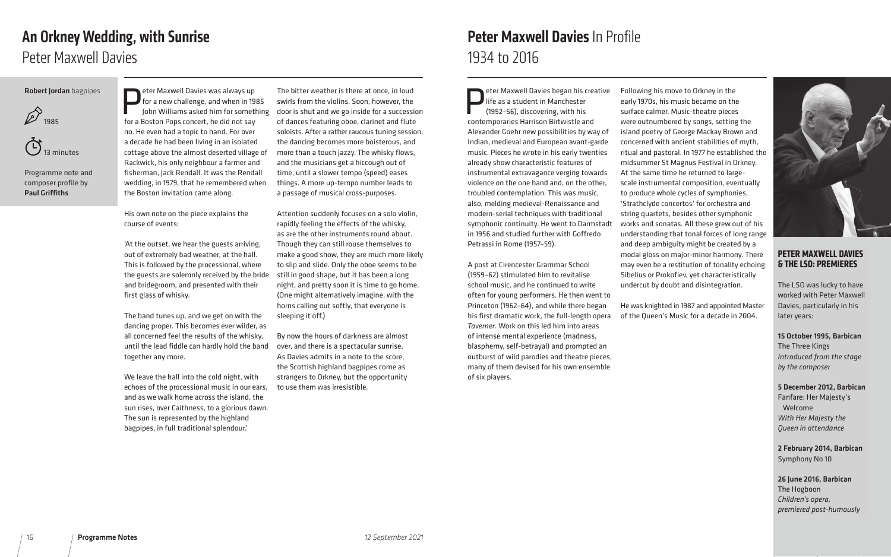## Peter Maxwell Davies In Profile 1934 to 2016

eter Maxwell Davies began his creative life as a student in Manchester (1952–56), discovering, with his contemporaries Harrison Birtwistle and Alexander Goehr new possibilities by way of Indian, medieval and European avant-garde music. Pieces he wrote in his early twenties already show characteristic features of instrumental extravagance verging towards violence on the one hand and, on the other, troubled contemplation. This was music, also, melding medieval-Renaissance and modern-serial techniques with traditional symphonic continuity. He went to Darmstad in 1956 and studied further with Goffredo Petrassi in Rome (1957–59).

A post at Cirencester Grammar School (1959–62) stimulated him to revitalise school music, and he continued to write often for young performers. He then went to Princeton (1962–64), and while there began his first dramatic work, the full-length opera *Taverner*. Work on this led him into areas of intense mental experience (madness, blasphemy, self-betrayal) and prompted an outburst of wild parodies and theatre pieces, many of them devised for his own ensemble of six players.

<u>(T)</u> 13 minutes

eter Maxwell Davies was always up<br>for a new challenge, and when in 19<br>John Williams asked him for sometl<br>for a Boston Pons concert, he did not say for a new challenge, and when in 1985 John Williams asked him for something for a Boston Pops concert, he did not say no. He even had a topic to hand. For over a decade he had been living in an isolated cottage above the almost deserted village of Rackwick, his only neighbour a farmer and fisherman, Jack Rendall. It was the Rendall wedding, in 1979, that he remembered when the Boston invitation came along.

Following his move to Orkney in the early 1970s, his music became on the surface calmer. Music-theatre pieces were outnumbered by songs, setting the island poetry of George Mackay Brown and concerned with ancient stabilities of myth, ritual and pastoral. In 1977 he established the midsummer St Magnus Festival in Orkney. At the same time he returned to largescale instrumental composition, eventually to produce whole cycles of symphonies, 'Strathclyde concertos' for orchestra and string quartets, besides other symphonic works and sonatas. All these grew out of his understanding that tonal forces of long range and deep ambiguity might be created by a modal gloss on major-minor harmony. There may even be a restitution of tonality echoing Sibelius or Prokofiev, yet characteristically undercut by doubt and disintegration.

He was knighted in 1987 and appointed Master of the Queen's Music for a decade in 2004.

#### Robert Jordan bagpipes



Programme note and composer profile by Paul Griffiths

> His own note on the piece explains the course of events:

'At the outset, we hear the guests arriving, out of extremely bad weather, at the hall. This is followed by the processional, where the guests are solemnly received by the bride and bridegroom, and presented with their first glass of whisky.

The band tunes up, and we get on with the dancing proper. This becomes ever wilder, as all concerned feel the results of the whisky, until the lead fiddle can hardly hold the band together any more.

We leave the hall into the cold night, with echoes of the processional music in our ears, and as we walk home across the island, the sun rises, over Caithness, to a glorious dawn. The sun is represented by the highland bagpipes, in full traditional splendour.'

## An Orkney Wedding, with Sunrise Peter Maxwell Davies

The bitter weather is there at once, in loud swirls from the violins. Soon, however, the door is shut and we go inside for a succession of dances featuring oboe, clarinet and flute soloists. After a rather raucous tuning session, the dancing becomes more boisterous, and more than a touch jazzy. The whisky flows, and the musicians get a hiccough out of time, until a slower tempo (speed) eases things. A more up-tempo number leads to a passage of musical cross-purposes.

Attention suddenly focuses on a solo violin, rapidly feeling the effects of the whisky, as are the other instruments round about. Though they can still rouse themselves to make a good show, they are much more likely to slip and slide. Only the oboe seems to be still in good shape, but it has been a long night, and pretty soon it is time to go home. (One might alternatively imagine, with the horns calling out softly, that everyone is sleeping it off.)

By now the hours of darkness are almost over, and there is a spectacular sunrise. As Davies admits in a note to the score, the Scottish highland bagpipes come as strangers to Orkney, but the opportunity to use them was irresistible.



#### **PETER MAXWELL DAVIES & THE LSO: PREMIERES**

The LSO was lucky to have worked with Peter Maxwell Davies, particularly in his later years:

#### 15 October 1995, Barbican

The Three Kings *Introduced from the stage by the composer*

#### 5 December 2012, Barbican

Fanfare: Her Majesty's Welcome *With Her Majesty the Queen in attendance*

2 February 2014, Barbican Symphony No 10

26 June 2016, Barbican The Hogboon *Children's opera, premiered post-humously*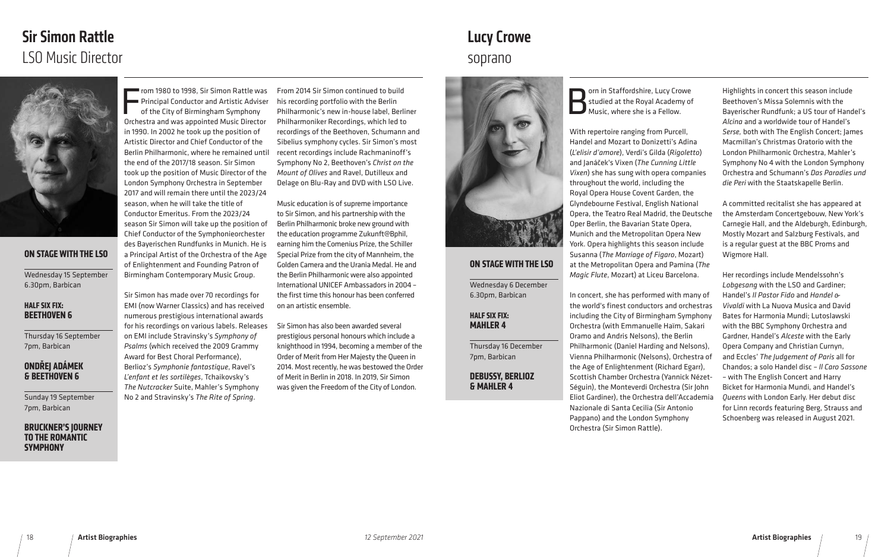#### **ON STAGE WITH THE LSO**

Wednesday 15 September 6.30pm, Barbican

#### **HALF SIX FIX: BEETHOVEN 6**

Thursday 16 September 7pm, Barbican

#### **ONDŘEJ ADÁMEK & BEETHOVEN 6**

Sunday 19 September 7pm, Barbican

#### **BRUCKNER'S JOURNEY TO THE ROMANTIC SYMPHONY**

F<sub>orbs</sub> rom 1980 to 1998, Sir Simon Rattle was Principal Conductor and Artistic Adviser of the City of Birmingham Symphony Orchestra and was appointed Music Director in 1990. In 2002 he took up the position of Artistic Director and Chief Conductor of the Berlin Philharmonic, where he remained until the end of the 2017/18 season. Sir Simon took up the position of Music Director of the London Symphony Orchestra in September 2017 and will remain there until the 2023/24 season, when he will take the title of Conductor Emeritus. From the 2023/24 season Sir Simon will take up the position of Chief Conductor of the Symphonieorchester des Bayerischen Rundfunks in Munich. He is a Principal Artist of the Orchestra of the Age of Enlightenment and Founding Patron of Birmingham Contemporary Music Group.

Sir Simon has made over 70 recordings for EMI (now Warner Classics) and has received numerous prestigious international awards for his recordings on various labels. Releases on EMI include Stravinsky's *Symphony of Psalms* (which received the 2009 Grammy Award for Best Choral Performance), Berlioz's *Symphonie fantastique*, Ravel's *L'enfant et les sortilèges*, Tchaikovsky's *The Nutcracker* Suite, Mahler's Symphony No 2 and Stravinsky's *The Rite of Spring*.

**Born in Staffordshire, Lucy Crowe**<br>**Box Studied at the Royal Academy of Music, where she is a Fellow.** studied at the Royal Academy of Music, where she is a Fellow.

From 2014 Sir Simon continued to build his recording portfolio with the Berlin Philharmonic's new in-house label, Berliner Philharmoniker Recordings, which led to recordings of the Beethoven, Schumann and Sibelius symphony cycles. Sir Simon's most recent recordings include Rachmaninoff's Symphony No 2, Beethoven's *Christ on the Mount of Olives* and Ravel, Dutilleux and Delage on Blu-Ray and DVD with LSO Live.

Music education is of supreme importance to Sir Simon, and his partnership with the Berlin Philharmonic broke new ground with the education programme Zukunft@Bphil, earning him the Comenius Prize, the Schiller Special Prize from the city of Mannheim, the Golden Camera and the Urania Medal. He and the Berlin Philharmonic were also appointed International UNICEF Ambassadors in 2004 – the first time this honour has been conferred on an artistic ensemble.

Sir Simon has also been awarded several prestigious personal honours which include a knighthood in 1994, becoming a member of the Order of Merit from Her Majesty the Queen in 2014. Most recently, he was bestowed the Order of Merit in Berlin in 2018. In 2019, Sir Simon was given the Freedom of the City of London.





# Sir Simon Rattle LSO Music Director soprano





With repertoire ranging from Purcell, Handel and Mozart to Donizetti's Adina (*L'elisir d'amore*), Verdi's Gilda (*Rigoletto*) and Janáček's Vixen (*The Cunning Little Vixen*) she has sung with opera companies throughout the world, including the Royal Opera House Covent Garden, the Glyndebourne Festival, English National Opera, the Teatro Real Madrid, the Deutsche Oper Berlin, the Bavarian State Opera, Munich and the Metropolitan Opera New York. Opera highlights this season include Susanna (*The Marriage of Figaro*, Mozart) at the Metropolitan Opera and Pamina (*The Magic Flute*, Mozart) at Liceu Barcelona. *Serse,* both with The English Concert; James Macmillan's Christmas Oratorio with the London Philharmonic Orchestra, Mahler's Symphony No 4 with the London Symphony Orchestra and Schumann's *Das Paradies und die Peri* with the Staatskapelle Berlin. A committed recitalist she has appeared at the Amsterdam Concertgebouw, New York's Carnegie Hall, and the Aldeburgh, Edinburgh, Mostly Mozart and Salzburg Festivals, and is a regular guest at the BBC Proms and Wigmore Hall. Her recordings include Mendelssohn's

Highlights in concert this season include Beethoven's Missa Solemnis with the Bayerischer Rundfunk; a US tour of Handel's *Alcina* and a worldwide tour of Handel's

In concert, she has performed with many of the world's finest conductors and orchestras including the City of Birmingham Symphony Orchestra (with Emmanuelle Haïm, Sakari Oramo and Andris Nelsons), the Berlin Philharmonic (Daniel Harding and Nelsons), Vienna Philharmonic (Nelsons), Orchestra of the Age of Enlightenment (Richard Egarr), Scottish Chamber Orchestra (Yannick Nézet-Séguin), the Monteverdi Orchestra (Sir John Eliot Gardiner), the Orchestra dell'Accademia Nazionale di Santa Cecilia (Sir Antonio Pappano) and the London Symphony Orchestra (Sir Simon Rattle). *Lobgesang* with the LSO and Gardiner; Handel's *Il Pastor Fido* and *Handel & Vivaldi* with La Nuova Musica and David Bates for Harmonia Mundi; Lutoslawski with the BBC Symphony Orchestra and Gardner, Handel's *Alceste* with the Early Opera Company and Christian Curnyn, and Eccles' *The Judgement of Paris* all for Chandos; a solo Handel disc – *ll Caro Sassone* – with The English Concert and Harry Bicket for Harmonia Mundi, and Handel's *Queens* with London Early. Her debut disc for Linn records featuring Berg, Strauss and Schoenberg was released in August 2021.

#### **ON STAGE WITH THE LSO**

Wednesday 6 December 6.30pm, Barbican

#### **HALF SIX FIX: MAHLER 4**

Thursday 16 December 7pm, Barbican

#### **DEBUSSY, BERLIOZ & MAHLER 4**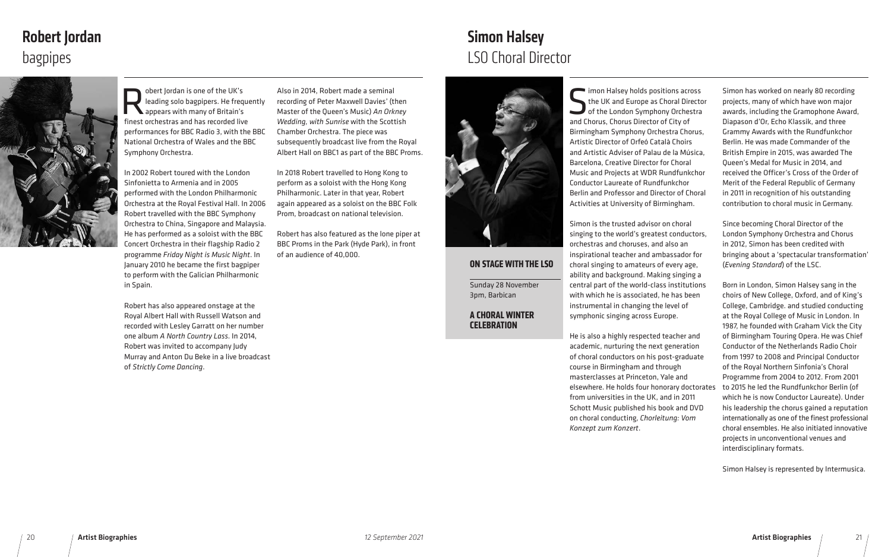Obert Jordan is one of the UK's<br>leading solo bagpipers. He freq<br>appears with many of Britain's<br>finest or best as and has recorded live leading solo bagpipers. He frequently appears with many of Britain's finest orchestras and has recorded live performances for BBC Radio 3, with the BBC National Orchestra of Wales and the BBC Symphony Orchestra.

In 2002 Robert toured with the London Sinfonietta to Armenia and in 2005 performed with the London Philharmonic Orchestra at the Royal Festival Hall. In 2006 Robert travelled with the BBC Symphony Orchestra to China, Singapore and Malaysia. He has performed as a soloist with the BBC Concert Orchestra in their flagship Radio 2 programme *Friday Night is Music Night*. In January 2010 he became the first bagpiper to perform with the Galician Philharmonic in Spain.

Robert has also appeared onstage at the Royal Albert Hall with Russell Watson and recorded with Lesley Garratt on her number one album *A North Country Lass*. In 2014, Robert was invited to accompany Judy Murray and Anton Du Beke in a live broadcast of *Strictly Come Dancing*.

Simon Halsey holds positions across<br>the UK and Europe as Choral Director<br>of the London Symphony Orchestra<br>and Chorus Chorus Director of City of the UK and Europe as Choral Director of the London Symphony Orchestra and Chorus, Chorus Director of City of Birmingham Symphony Orchestra Chorus, Artistic Director of Orfeó Català Choirs and Artistic Adviser of Palau de la Música, Barcelona, Creative Director for Choral Music and Projects at WDR Rundfunkchor Conductor Laureate of Rundfunkchor Berlin and Professor and Director of Choral Activities at University of Birmingham.

Also in 2014, Robert made a seminal recording of Peter Maxwell Davies' (then Master of the Queen's Music) *An Orkney Wedding, with Sunrise* with the Scottish Chamber Orchestra. The piece was subsequently broadcast live from the Royal Albert Hall on BBC1 as part of the BBC Proms.

In 2018 Robert travelled to Hong Kong to perform as a soloist with the Hong Kong Philharmonic. Later in that year, Robert again appeared as a soloist on the BBC Folk Prom, broadcast on national television.

Robert has also featured as the lone piper at BBC Proms in the Park (Hyde Park), in front of an audience of 40,000.

Simon is the trusted advisor on choral singing to the world's greatest conductors, orchestras and choruses, and also an inspirational teacher and ambassador for choral singing to amateurs of every age, ability and background. Making singing a central part of the world-class institutions with which he is associated, he has been instrumental in changing the level of symphonic singing across Europe.

He is also a highly respected teacher and academic, nurturing the next generation of choral conductors on his post-graduate course in Birmingham and through masterclasses at Princeton, Yale and elsewhere. He holds four honorary doctorates from universities in the UK, and in 2011 Schott Music published his book and DVD on choral conducting, *Chorleitung: Vom Konzept zum Konzert*.

## Simon Halsey bagpipes LSO Choral Director



Simon has worked on nearly 80 recording projects, many of which have won major awards, including the Gramophone Award, Diapason d'Or, Echo Klassik, and three Grammy Awards with the Rundfunkchor Berlin. He was made Commander of the British Empire in 2015, was awarded The Queen's Medal for Music in 2014, and received the Officer's Cross of the Order of Merit of the Federal Republic of Germany in 2011 in recognition of his outstanding contribution to choral music in Germany.

Since becoming Choral Director of the London Symphony Orchestra and Chorus in 2012, Simon has been credited with bringing about a 'spectacular transformation' (*Evening Standard*) of the LSC.

Born in London, Simon Halsey sang in the choirs of New College, Oxford, and of King's College, Cambridge. and studied conducting at the Royal College of Music in London. In 1987, he founded with Graham Vick the City of Birmingham Touring Opera. He was Chief Conductor of the Netherlands Radio Choir from 1997 to 2008 and Principal Conductor of the Royal Northern Sinfonia's Choral Programme from 2004 to 2012. From 2001 to 2015 he led the Rundfunkchor Berlin (of which he is now Conductor Laureate). Under his leadership the chorus gained a reputation internationally as one of the finest professional choral ensembles. He also initiated innovative projects in unconventional venues and

interdisciplinary formats.

Simon Halsey is represented by Intermusica.

# Robert Jordan



#### **ON STAGE WITH THE LSO**

Sunday 28 November 3pm, Barbican

**A CHORAL WINTER CELEBRATION**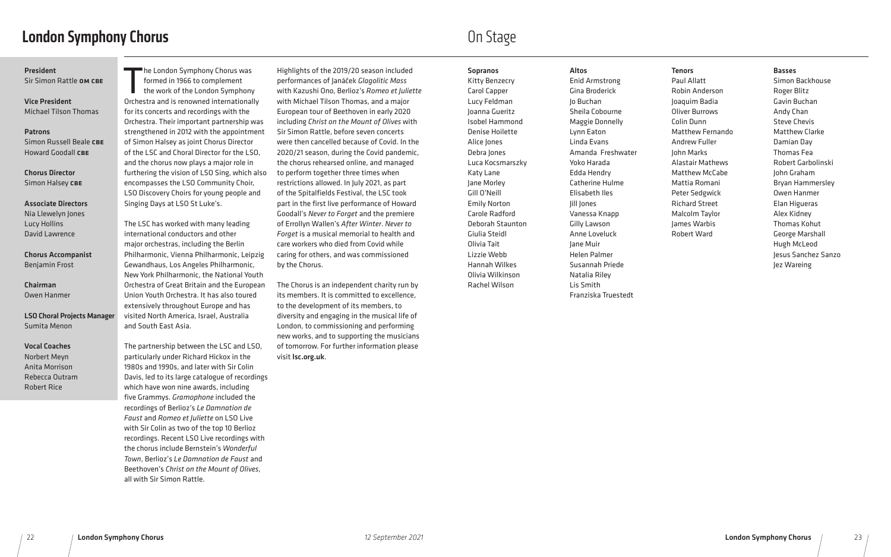## London Symphony Chorus

he London Symphony Chorus was<br>formed in 1966 to complement<br>the work of the London Symphony<br>Orchestra and is renowned internationally he London Symphony Chorus was formed in 1966 to complement the work of the London Symphony for its concerts and recordings with the Orchestra. Their important partnership was strengthened in 2012 with the appointment of Simon Halsey as joint Chorus Director of the LSC and Choral Director for the LSO, and the chorus now plays a major role in furthering the vision of LSO Sing, which also encompasses the LSO Community Choir, LSO Discovery Choirs for young people and Singing Days at LSO St Luke's.

The LSC has worked with many leading international conductors and other major orchestras, including the Berlin Philharmonic, Vienna Philharmonic, Leipzig Gewandhaus, Los Angeles Philharmonic, New York Philharmonic, the National Youth Orchestra of Great Britain and the European Union Youth Orchestra. It has also toured extensively throughout Europe and has visited North America, Israel, Australia and South East Asia.

The partnership between the LSC and LSO, particularly under Richard Hickox in the 1980s and 1990s, and later with Sir Colin Davis, led to its large catalogue of recordings which have won nine awards, including five Grammys. *Gramophone* included the recordings of Berlioz's *Le Damnation de Faust* and *Romeo et Juliette* on LSO Live with Sir Colin as two of the top 10 Berlioz recordings. Recent LSO Live recordings with the chorus include Bernstein's *Wonderful Town*, Berlioz's *Le Damnation de Faust* and Beethoven's *Christ on the Mount of Olives*, all with Sir Simon Rattle.

Highlights of the 2019/20 season included performances of Janáček *Glagolitic Mass*  with Kazushi Ono, Berlioz's *Romeo et Juliette*  with Michael Tilson Thomas, and a major European tour of Beethoven in early 2020 including *Christ on the Mount of Olives* with Sir Simon Rattle, before seven concerts were then cancelled because of Covid. In the 2020/21 season, during the Covid pandemic, the chorus rehearsed online, and managed to perform together three times when restrictions allowed. In July 2021, as part of the Spitalfields Festival, the LSC took part in the first live performance of Howard Goodall's *Never to Forget* and the premiere of Errollyn Wallen's *After Winter*. *Never to Forget* is a musical memorial to health and care workers who died from Covid while caring for others, and was commissioned by the Chorus.

Chorus Director Simon Halsey CBE

> The Chorus is an independent charity run by its members. It is committed to excellence, to the development of its members, to diversity and engaging in the musical life of London, to commissioning and performing new works, and to supporting the musicians of tomorrow. For further information please visit lsc.org.uk.

## On Stage

#### Sopranos

Kitty Benzecry Carol Capper Lucy Feldman Joanna Gueritz Isobel Hammond Denise Hoilette Alice Jones Debra Jones Luca Kocsmarszky Katy Lane Jane Morley Gill O'Neill Emily Norton Carole Radford Deborah Staunton Giulia Steidl Olivia Tait Lizzie Webb Hannah Wilkes Olivia Wilkinson Rachel Wilson

#### Altos

Enid Armstrong Gina Broderick Jo Buchan Sheila Cobourne Maggie Donnelly Lynn Eaton Linda Evans Amanda Freshwater Yoko Harada Edda Hendry Catherine Hulme Elisabeth Iles Jill Jones Vanessa Knapp Gilly Lawson Anne Loveluck Jane Muir Helen Palmer Susannah Priede Natalia Riley Lis Smith Franziska Truestedt

#### Tenors

Paul Allatt Robin Anderson Joaquim Badia Oliver Burrows Colin Dunn Matthew Fernando Andrew Fuller John Marks Alastair Mathews Matthew McCabe Mattia Romani Peter Sedgwick Richard Street Malcolm Taylor James Warbis Robert Ward

Basses

Simon Backhouse Roger Blitz Gavin Buchan Andy Chan Steve Chevis Matthew Clarke Damian Day Thomas Fea Robert Garbolinski John Graham Bryan Hammersley Owen Hanmer Elan Higueras Alex Kidney Thomas Kohut George Marshall Hugh McLeod Jesus Sanchez Sanzo Jez Wareing

#### President

Sir Simon Rattle OM CBE

Vice President Michael Tilson Thomas

#### Patrons

Simon Russell Beale CBE Howard Goodall CBE

#### Associate Directors Nia Llewelyn Jones Lucy Hollins David Lawrence

Chorus Accompanist Benjamin Frost

Chairman Owen Hanmer

LSO Choral Projects Manager Sumita Menon

#### Vocal Coaches Norbert Meyn Anita Morrison

Rebecca Outram Robert Rice